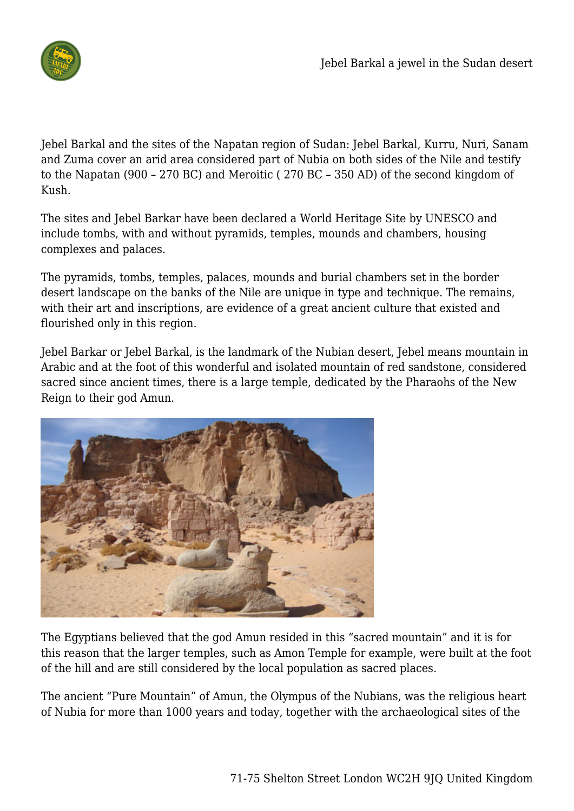

Jebel Barkal and the sites of the Napatan region of Sudan: Jebel Barkal, Kurru, Nuri, Sanam and Zuma cover an arid area considered part of Nubia on both sides of the Nile and testify to the Napatan (900 – 270 BC) and Meroitic ( 270 BC – 350 AD) of the second kingdom of Kush.

The sites and Jebel Barkar have been declared a World Heritage Site by UNESCO and include tombs, with and without pyramids, temples, mounds and chambers, housing complexes and palaces.

The pyramids, tombs, temples, palaces, mounds and burial chambers set in the border desert landscape on the banks of the Nile are unique in type and technique. The remains, with their art and inscriptions, are evidence of a great ancient culture that existed and flourished only in this region.

Jebel Barkar or Jebel Barkal, is the landmark of the Nubian desert, Jebel means mountain in Arabic and at the foot of this wonderful and isolated mountain of red sandstone, considered sacred since ancient times, there is a large temple, dedicated by the Pharaohs of the New Reign to their god Amun.



The Egyptians believed that the god Amun resided in this "sacred mountain" and it is for this reason that the larger temples, such as Amon Temple for example, were built at the foot of the hill and are still considered by the local population as sacred places.

The ancient "Pure Mountain" of Amun, the Olympus of the Nubians, was the religious heart of Nubia for more than 1000 years and today, together with the archaeological sites of the